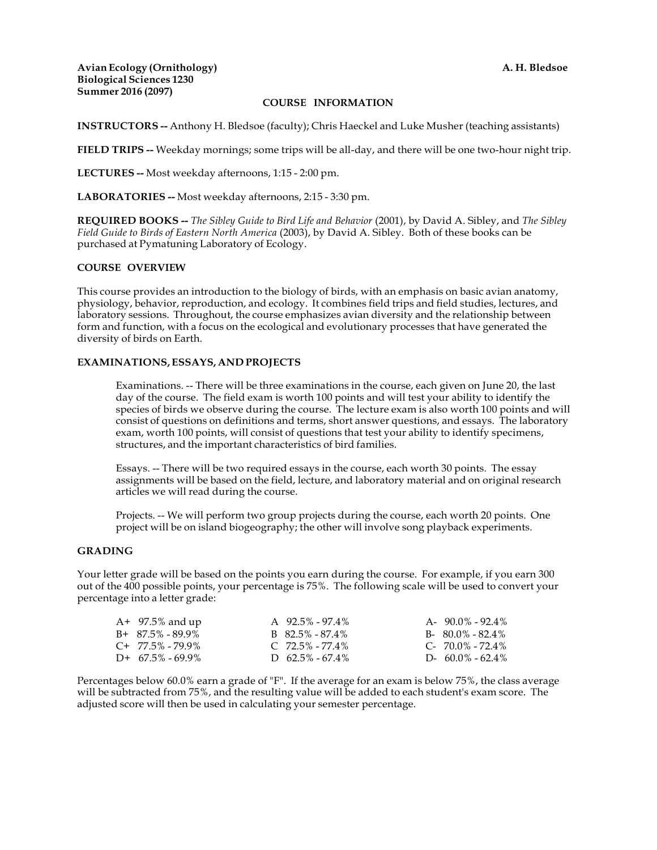**Avian Ecology (Ornithology) Biological Sciences 1230 Summer 2016 (2097)**

#### **COURSE INFORMATION**

**INSTRUCTORS --** Anthony H. Bledsoe (faculty); Chris Haeckel and Luke Musher (teaching assistants)

**FIELD TRIPS --** Weekday mornings; some trips will be all-day, and there will be one two-hour night trip.

**LECTURES --** Most weekday afternoons, 1:15 - 2:00 pm.

**LABORATORIES --** Most weekday afternoons, 2:15 - 3:30 pm.

**REQUIRED BOOKS --** *The Sibley Guide to Bird Life and Behavior* (2001), by David A. Sibley, and *The Sibley Field Guide to Birds of Eastern North America* (2003), by David A. Sibley. Both of these books can be purchased at Pymatuning Laboratory of Ecology.

#### **COURSE OVERVIEW**

This course provides an introduction to the biology of birds, with an emphasis on basic avian anatomy, physiology, behavior, reproduction, and ecology. It combines field trips and field studies, lectures, and laboratory sessions. Throughout, the course emphasizes avian diversity and the relationship between form and function, with a focus on the ecological and evolutionary processes that have generated the diversity of birds on Earth.

#### **EXAMINATIONS, ESSAYS, AND PROJECTS**

Examinations. -- There will be three examinations in the course, each given on June 20, the last day of the course. The field exam is worth 100 points and will test your ability to identify the species of birds we observe during the course. The lecture exam is also worth 100 points and will consist of questions on definitions and terms, short answer questions, and essays. The laboratory exam, worth 100 points, will consist of questions that test your ability to identify specimens, structures, and the important characteristics of bird families.

Essays. -- There will be two required essays in the course, each worth 30 points. The essay assignments will be based on the field, lecture, and laboratory material and on original research articles we will read during the course.

Projects. -- We will perform two group projects during the course, each worth 20 points. One project will be on island biogeography; the other will involve song playback experiments.

#### **GRADING**

Your letter grade will be based on the points you earn during the course. For example, if you earn 300 out of the 400 possible points, your percentage is 75%. The following scale will be used to convert your percentage into a letter grade:

| $A+ 97.5%$ and up   | A $92.5\% - 97.4\%$ | $A - 90.0\% - 92.4\%$  |
|---------------------|---------------------|------------------------|
| $B+87.5\% - 89.9\%$ | $B$ 82.5% - 87.4%   | $B - 80.0\% - 82.4\%$  |
| $C+$ 77.5% - 79.9%  | $C$ 72.5% - 77.4%   | $C - 70.0\% - 72.4\%$  |
| $D+$ 67.5% - 69.9%  | D $62.5\% - 67.4\%$ | D- $60.0\%$ - $62.4\%$ |

Percentages below 60.0% earn a grade of "F". If the average for an exam is below 75%, the class average will be subtracted from 75%, and the resulting value will be added to each student's exam score. The adjusted score will then be used in calculating your semester percentage.